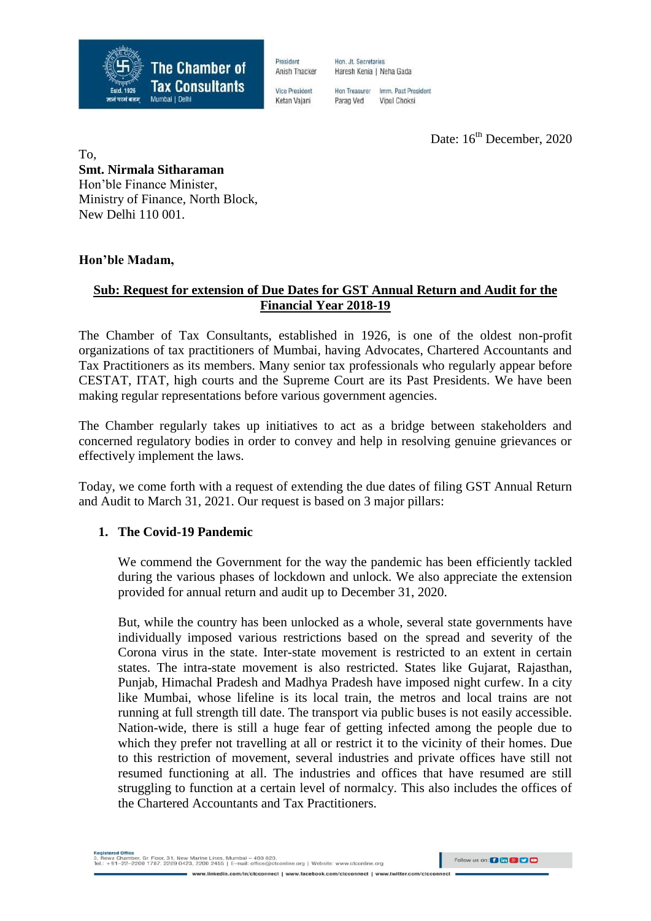

President Anish Thacker

**Vice President** Ketan Vajani

Hon, Jt. Secretaries Haresh Kenia | Neha Gada

Hon Treasurer Imm. Past President Parag Ved Vipul Choksi

Date:  $16^{th}$  December, 2020

To, **Smt. Nirmala Sitharaman** Hon'ble Finance Minister, Ministry of Finance, North Block, New Delhi 110 001.

# **Hon'ble Madam,**

# **Sub: Request for extension of Due Dates for GST Annual Return and Audit for the Financial Year 2018-19**

The Chamber of Tax Consultants, established in 1926, is one of the oldest non-profit organizations of tax practitioners of Mumbai, having Advocates, Chartered Accountants and Tax Practitioners as its members. Many senior tax professionals who regularly appear before CESTAT, ITAT, high courts and the Supreme Court are its Past Presidents. We have been making regular representations before various government agencies.

The Chamber regularly takes up initiatives to act as a bridge between stakeholders and concerned regulatory bodies in order to convey and help in resolving genuine grievances or effectively implement the laws.

Today, we come forth with a request of extending the due dates of filing GST Annual Return and Audit to March 31, 2021. Our request is based on 3 major pillars:

#### **1. The Covid-19 Pandemic**

We commend the Government for the way the pandemic has been efficiently tackled during the various phases of lockdown and unlock. We also appreciate the extension provided for annual return and audit up to December 31, 2020.

But, while the country has been unlocked as a whole, several state governments have individually imposed various restrictions based on the spread and severity of the Corona virus in the state. Inter-state movement is restricted to an extent in certain states. The intra-state movement is also restricted. States like Gujarat, Rajasthan, Punjab, Himachal Pradesh and Madhya Pradesh have imposed night curfew. In a city like Mumbai, whose lifeline is its local train, the metros and local trains are not running at full strength till date. The transport via public buses is not easily accessible. Nation-wide, there is still a huge fear of getting infected among the people due to which they prefer not travelling at all or restrict it to the vicinity of their homes. Due to this restriction of movement, several industries and private offices have still not resumed functioning at all. The industries and offices that have resumed are still struggling to function at a certain level of normalcy. This also includes the offices of the Chartered Accountants and Tax Practitioners.

.<br>Rewa Chamber, Gr. Floor, 31, New Marine Lines, Mumbai – 400 020.<br>.: +91–22–2200 1787, 2209 0423, 2200 2455 | E-mail: office@ctconline.org | Website: www.ctconline.org Follow us on: **0 to 8 0 0** www.linkedin.com/in/ctcconnect | www.facebook.com/ctcconnect | www.twitter.com/ctcco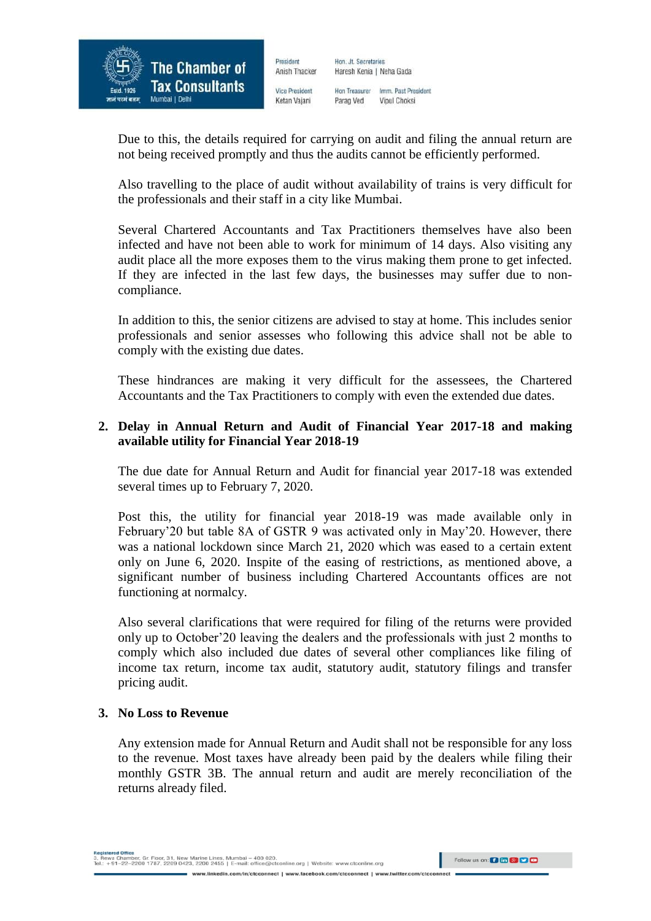

Hon, Jt. Secretaries Anish Thacker Haresh Kenia | Neha Gada

**Vice President** Ketan Vajani

President

Hon Treasurer Imm, Past President Parag Ved Vipul Choksi

Due to this, the details required for carrying on audit and filing the annual return are not being received promptly and thus the audits cannot be efficiently performed.

Also travelling to the place of audit without availability of trains is very difficult for the professionals and their staff in a city like Mumbai.

Several Chartered Accountants and Tax Practitioners themselves have also been infected and have not been able to work for minimum of 14 days. Also visiting any audit place all the more exposes them to the virus making them prone to get infected. If they are infected in the last few days, the businesses may suffer due to noncompliance.

In addition to this, the senior citizens are advised to stay at home. This includes senior professionals and senior assesses who following this advice shall not be able to comply with the existing due dates.

These hindrances are making it very difficult for the assessees, the Chartered Accountants and the Tax Practitioners to comply with even the extended due dates.

# **2. Delay in Annual Return and Audit of Financial Year 2017-18 and making available utility for Financial Year 2018-19**

The due date for Annual Return and Audit for financial year 2017-18 was extended several times up to February 7, 2020.

Post this, the utility for financial year 2018-19 was made available only in February'20 but table 8A of GSTR 9 was activated only in May'20. However, there was a national lockdown since March 21, 2020 which was eased to a certain extent only on June 6, 2020. Inspite of the easing of restrictions, as mentioned above, a significant number of business including Chartered Accountants offices are not functioning at normalcy.

Also several clarifications that were required for filing of the returns were provided only up to October'20 leaving the dealers and the professionals with just 2 months to comply which also included due dates of several other compliances like filing of income tax return, income tax audit, statutory audit, statutory filings and transfer pricing audit.

# **3. No Loss to Revenue**

Any extension made for Annual Return and Audit shall not be responsible for any loss to the revenue. Most taxes have already been paid by the dealers while filing their monthly GSTR 3B. The annual return and audit are merely reconciliation of the returns already filed.